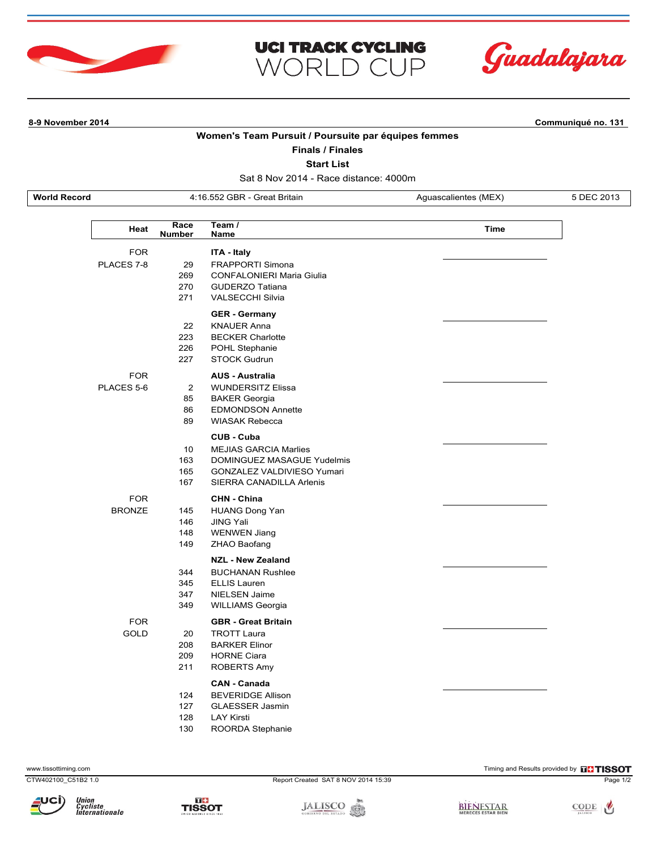



**8-9 November 2014 Communiqué no. 131**

## **Women's Team Pursuit / Poursuite par équipes femmes**

**UCI TRACK CYCLING** 

WORLD CUP

**Finals / Finales**

**Start List**

Sat 8 Nov 2014 - Race distance: 4000m

**World Record** 4:16.552 GBR - Great Britain Aguascalientes (MEX) 5 DEC 2013

L

| Race<br>Heat<br><b>Number</b> |                                  | Team /<br>Name                                                                                                                     | <b>Time</b> |
|-------------------------------|----------------------------------|------------------------------------------------------------------------------------------------------------------------------------|-------------|
| <b>FOR</b><br>PLACES 7-8      | 29<br>269<br>270<br>271          | <b>ITA - Italy</b><br><b>FRAPPORTI Simona</b><br>CONFALONIERI Maria Giulia<br><b>GUDERZO Tatiana</b><br><b>VALSECCHI Silvia</b>    |             |
|                               | 22<br>223<br>226<br>227          | <b>GER - Germany</b><br><b>KNAUER Anna</b><br><b>BECKER Charlotte</b><br>POHL Stephanie<br><b>STOCK Gudrun</b>                     |             |
| <b>FOR</b><br>PLACES 5-6      | $\overline{2}$<br>85<br>86<br>89 | <b>AUS - Australia</b><br><b>WUNDERSITZ Elissa</b><br><b>BAKER Georgia</b><br><b>EDMONDSON Annette</b><br><b>WIASAK Rebecca</b>    |             |
|                               | 10<br>163<br>165<br>167          | CUB - Cuba<br><b>MEJIAS GARCIA Marlies</b><br>DOMINGUEZ MASAGUE Yudelmis<br>GONZALEZ VALDIVIESO Yumari<br>SIERRA CANADILLA Arlenis |             |
| <b>FOR</b><br><b>BRONZE</b>   | 145<br>146<br>148<br>149         | <b>CHN - China</b><br><b>HUANG Dong Yan</b><br><b>JING Yali</b><br><b>WENWEN Jiang</b><br><b>ZHAO Baofang</b>                      |             |
|                               | 344<br>345<br>347<br>349         | <b>NZL - New Zealand</b><br><b>BUCHANAN Rushlee</b><br><b>ELLIS Lauren</b><br><b>NIELSEN Jaime</b><br><b>WILLIAMS Georgia</b>      |             |
| <b>FOR</b><br>GOLD            | 20<br>208<br>209<br>211          | <b>GBR - Great Britain</b><br><b>TROTT Laura</b><br><b>BARKER Elinor</b><br><b>HORNE Ciara</b><br><b>ROBERTS Amy</b>               |             |
|                               | 124<br>127<br>128<br>130         | <b>CAN - Canada</b><br><b>BEVERIDGE Allison</b><br><b>GLAESSER Jasmin</b><br><b>LAY Kirsti</b><br>ROORDA Stephanie                 |             |

www.tissottiming.com **EXECUTE CONTENTS OF EXECUTE CONTENTS OF EXECUTE CONTENTS OF EXECUTE CONTENTS OF EXECUTE CONTENTS OF EXECUTIVE CONTENTS OF THE RESOLUTION OF THE RESOLUTION OF THE RESOLUTION OF THE RESOLUTION OF THE RE**